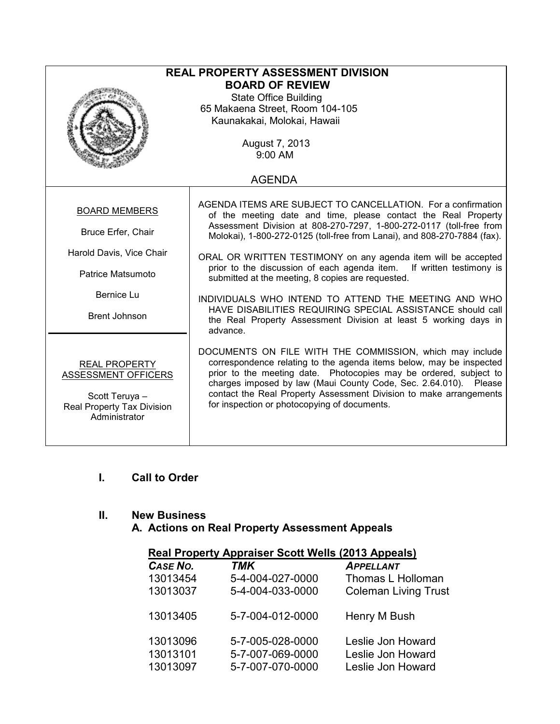| <b>REAL PROPERTY ASSESSMENT DIVISION</b>                       |                                                                                                                                 |  |  |  |  |
|----------------------------------------------------------------|---------------------------------------------------------------------------------------------------------------------------------|--|--|--|--|
| <b>BOARD OF REVIEW</b>                                         |                                                                                                                                 |  |  |  |  |
| <b>State Office Building</b>                                   |                                                                                                                                 |  |  |  |  |
| 65 Makaena Street, Room 104-105<br>Kaunakakai, Molokai, Hawaii |                                                                                                                                 |  |  |  |  |
|                                                                |                                                                                                                                 |  |  |  |  |
| August 7, 2013                                                 |                                                                                                                                 |  |  |  |  |
| $9:00$ AM                                                      |                                                                                                                                 |  |  |  |  |
| <b>AGENDA</b>                                                  |                                                                                                                                 |  |  |  |  |
|                                                                |                                                                                                                                 |  |  |  |  |
| <b>BOARD MEMBERS</b>                                           | AGENDA ITEMS ARE SUBJECT TO CANCELLATION. For a confirmation<br>of the meeting date and time, please contact the Real Property  |  |  |  |  |
|                                                                | Assessment Division at 808-270-7297, 1-800-272-0117 (toll-free from                                                             |  |  |  |  |
| Bruce Erfer, Chair                                             | Molokai), 1-800-272-0125 (toll-free from Lanai), and 808-270-7884 (fax).                                                        |  |  |  |  |
| Harold Davis, Vice Chair                                       | ORAL OR WRITTEN TESTIMONY on any agenda item will be accepted                                                                   |  |  |  |  |
|                                                                | prior to the discussion of each agenda item. If written testimony is                                                            |  |  |  |  |
| Patrice Matsumoto                                              | submitted at the meeting, 8 copies are requested.                                                                               |  |  |  |  |
| Bernice Lu                                                     | INDIVIDUALS WHO INTEND TO ATTEND THE MEETING AND WHO                                                                            |  |  |  |  |
| <b>Brent Johnson</b>                                           | HAVE DISABILITIES REQUIRING SPECIAL ASSISTANCE should call                                                                      |  |  |  |  |
|                                                                | the Real Property Assessment Division at least 5 working days in<br>advance.                                                    |  |  |  |  |
|                                                                |                                                                                                                                 |  |  |  |  |
|                                                                | DOCUMENTS ON FILE WITH THE COMMISSION, which may include<br>correspondence relating to the agenda items below, may be inspected |  |  |  |  |
| <b>REAL PROPERTY</b><br>ASSESSMENT OFFICERS                    | prior to the meeting date. Photocopies may be ordered, subject to                                                               |  |  |  |  |
|                                                                | charges imposed by law (Maui County Code, Sec. 2.64.010). Please                                                                |  |  |  |  |
| Scott Teruya -                                                 | contact the Real Property Assessment Division to make arrangements<br>for inspection or photocopying of documents.              |  |  |  |  |
| Real Property Tax Division<br>Administrator                    |                                                                                                                                 |  |  |  |  |
|                                                                |                                                                                                                                 |  |  |  |  |
|                                                                |                                                                                                                                 |  |  |  |  |

## I. Call to Order

## II. New Business

## A. Actions on Real Property Assessment Appeals

|       | Real Property Appraiser Scott Wells (2013 Appeals) |  |
|-------|----------------------------------------------------|--|
| ----- | <b>A</b> _ _ _                                     |  |

| CASE NO. | <b>TMK</b>       | <b>APPELLANT</b>            |
|----------|------------------|-----------------------------|
| 13013454 | 5-4-004-027-0000 | Thomas L Holloman           |
| 13013037 | 5-4-004-033-0000 | <b>Coleman Living Trust</b> |
| 13013405 | 5-7-004-012-0000 | Henry M Bush                |
| 13013096 | 5-7-005-028-0000 | Leslie Jon Howard           |
| 13013101 | 5-7-007-069-0000 | Leslie Jon Howard           |
| 13013097 | 5-7-007-070-0000 | Leslie Jon Howard           |